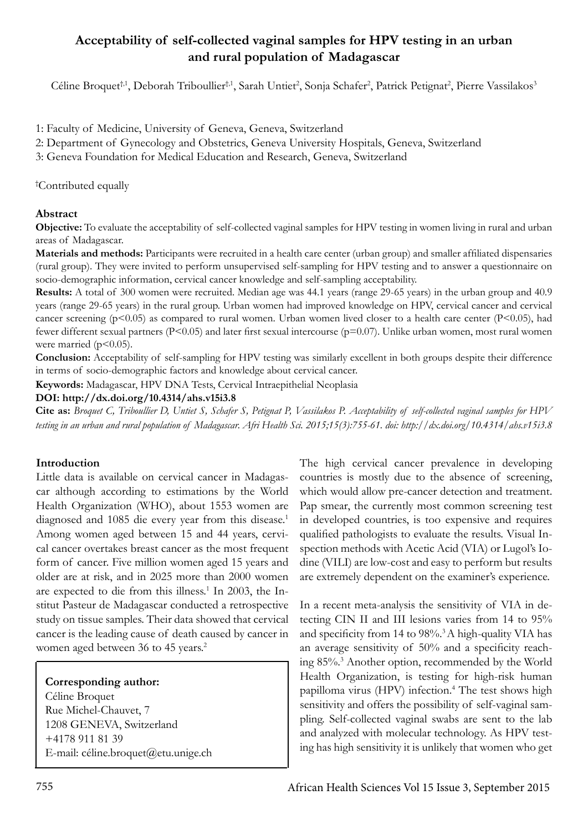# **Acceptability of self-collected vaginal samples for HPV testing in an urban and rural population of Madagascar**

Céline Broquet<sup>†,1</sup>, Deborah Triboullier<sup>†,1</sup>, Sarah Untiet<sup>2</sup>, Sonja Schafer<sup>2</sup>, Patrick Petignat<sup>2</sup>, Pierre Vassilakos<sup>3</sup>

- 1: Faculty of Medicine, University of Geneva, Geneva, Switzerland
- 2: Department of Gynecology and Obstetrics, Geneva University Hospitals, Geneva, Switzerland

3: Geneva Foundation for Medical Education and Research, Geneva, Switzerland

## † Contributed equally

# **Abstract**

**Objective:** To evaluate the acceptability of self-collected vaginal samples for HPV testing in women living in rural and urban areas of Madagascar.

**Materials and methods:** Participants were recruited in a health care center (urban group) and smaller affiliated dispensaries (rural group). They were invited to perform unsupervised self-sampling for HPV testing and to answer a questionnaire on socio-demographic information, cervical cancer knowledge and self-sampling acceptability.

**Results:** A total of 300 women were recruited. Median age was 44.1 years (range 29-65 years) in the urban group and 40.9 years (range 29-65 years) in the rural group. Urban women had improved knowledge on HPV, cervical cancer and cervical cancer screening ( $p<0.05$ ) as compared to rural women. Urban women lived closer to a health care center ( $P<0.05$ ), had fewer different sexual partners (P<0.05) and later first sexual intercourse (p=0.07). Unlike urban women, most rural women were married  $(p<0.05)$ .

**Conclusion:** Acceptability of self-sampling for HPV testing was similarly excellent in both groups despite their difference in terms of socio-demographic factors and knowledge about cervical cancer.

**Keywords:** Madagascar, HPV DNA Tests, Cervical Intraepithelial Neoplasia

**DOI: http://dx.doi.org/10.4314/ahs.v15i3.8**

**Cite as:** *Broquet C, Triboullier D, Untiet S, Schafer S, Petignat P, Vassilakos P. Acceptability of self-collected vaginal samples for HPV testing in an urban and rural population of Madagascar. Afri Health Sci. 2015;15(3):755-61. doi: http://dx.doi.org/10.4314/ahs.v15i3.8*

# **Introduction**

Little data is available on cervical cancer in Madagascar although according to estimations by the World Health Organization (WHO), about 1553 women are diagnosed and 1085 die every year from this disease.<sup>1</sup> Among women aged between 15 and 44 years, cervical cancer overtakes breast cancer as the most frequent form of cancer. Five million women aged 15 years and older are at risk, and in 2025 more than 2000 women are expected to die from this illness.<sup>1</sup> In 2003, the Institut Pasteur de Madagascar conducted a retrospective study on tissue samples. Their data showed that cervical cancer is the leading cause of death caused by cancer in women aged between 36 to 45 years.<sup>2</sup>

# **Corresponding author:**

Céline Broquet Rue Michel-Chauvet, 7 1208 GENEVA, Switzerland +4178 911 81 39 E-mail: céline.broquet@etu.unige.ch The high cervical cancer prevalence in developing countries is mostly due to the absence of screening, which would allow pre-cancer detection and treatment. Pap smear, the currently most common screening test in developed countries, is too expensive and requires qualified pathologists to evaluate the results. Visual Inspection methods with Acetic Acid (VIA) or Lugol's Iodine (VILI) are low-cost and easy to perform but results are extremely dependent on the examiner's experience.

In a recent meta-analysis the sensitivity of VIA in detecting CIN II and III lesions varies from 14 to 95% and specificity from 14 to 98%.<sup>3</sup> A high-quality VIA has an average sensitivity of 50% and a specificity reaching 85%.3 Another option, recommended by the World Health Organization, is testing for high-risk human papilloma virus (HPV) infection.<sup>4</sup> The test shows high sensitivity and offers the possibility of self-vaginal sampling. Self-collected vaginal swabs are sent to the lab and analyzed with molecular technology. As HPV testing has high sensitivity it is unlikely that women who get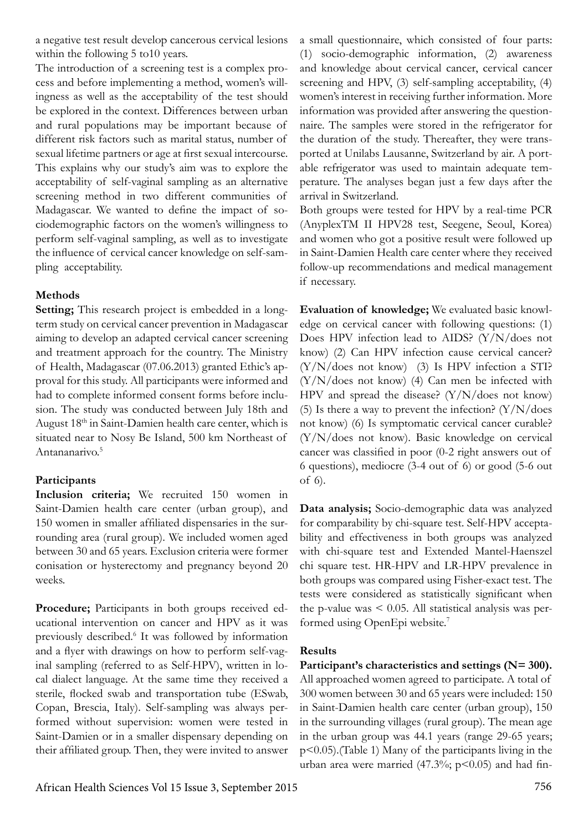a negative test result develop cancerous cervical lesions within the following 5 to 10 years.

The introduction of a screening test is a complex process and before implementing a method, women's willingness as well as the acceptability of the test should be explored in the context. Differences between urban and rural populations may be important because of different risk factors such as marital status, number of sexual lifetime partners or age at first sexual intercourse. This explains why our study's aim was to explore the acceptability of self-vaginal sampling as an alternative screening method in two different communities of Madagascar. We wanted to define the impact of sociodemographic factors on the women's willingness to perform self-vaginal sampling, as well as to investigate the influence of cervical cancer knowledge on self-sampling acceptability.

# **Methods**

**Setting;** This research project is embedded in a longterm study on cervical cancer prevention in Madagascar aiming to develop an adapted cervical cancer screening and treatment approach for the country. The Ministry of Health, Madagascar (07.06.2013) granted Ethic's approval for this study. All participants were informed and had to complete informed consent forms before inclusion. The study was conducted between July 18th and August 18th in Saint-Damien health care center, which is situated near to Nosy Be Island, 500 km Northeast of Antananarivo.<sup>5</sup>

# **Participants**

**Inclusion criteria;** We recruited 150 women in Saint-Damien health care center (urban group), and 150 women in smaller affiliated dispensaries in the surrounding area (rural group). We included women aged between 30 and 65 years. Exclusion criteria were former conisation or hysterectomy and pregnancy beyond 20 weeks.

Procedure; Participants in both groups received educational intervention on cancer and HPV as it was previously described.<sup>6</sup> It was followed by information and a flyer with drawings on how to perform self-vaginal sampling (referred to as Self-HPV), written in local dialect language. At the same time they received a sterile, flocked swab and transportation tube (ESwab, Copan, Brescia, Italy). Self-sampling was always performed without supervision: women were tested in Saint-Damien or in a smaller dispensary depending on their affiliated group. Then, they were invited to answer

a small questionnaire, which consisted of four parts: (1) socio-demographic information, (2) awareness and knowledge about cervical cancer, cervical cancer screening and HPV, (3) self-sampling acceptability, (4) women's interest in receiving further information. More information was provided after answering the questionnaire. The samples were stored in the refrigerator for the duration of the study. Thereafter, they were transported at Unilabs Lausanne, Switzerland by air. A portable refrigerator was used to maintain adequate temperature. The analyses began just a few days after the arrival in Switzerland.

Both groups were tested for HPV by a real-time PCR (AnyplexTM II HPV28 test, Seegene, Seoul, Korea) and women who got a positive result were followed up in Saint-Damien Health care center where they received follow-up recommendations and medical management if necessary.

**Evaluation of knowledge;** We evaluated basic knowledge on cervical cancer with following questions: (1) Does HPV infection lead to AIDS? (Y/N/does not know) (2) Can HPV infection cause cervical cancer? (Y/N/does not know) (3) Is HPV infection a STI? (Y/N/does not know) (4) Can men be infected with HPV and spread the disease? (Y/N/does not know) (5) Is there a way to prevent the infection?  $(Y/N/does)$ not know) (6) Is symptomatic cervical cancer curable? (Y/N/does not know). Basic knowledge on cervical cancer was classified in poor (0-2 right answers out of 6 questions), mediocre (3-4 out of 6) or good (5-6 out of 6).

**Data analysis;** Socio-demographic data was analyzed for comparability by chi-square test. Self-HPV acceptability and effectiveness in both groups was analyzed with chi-square test and Extended Mantel-Haenszel chi square test. HR-HPV and LR-HPV prevalence in both groups was compared using Fisher-exact test. The tests were considered as statistically significant when the p-value was  $\leq 0.05$ . All statistical analysis was performed using OpenEpi website.<sup>7</sup>

# **Results**

**Participant's characteristics and settings (N= 300).** All approached women agreed to participate. A total of 300 women between 30 and 65 years were included: 150 in Saint-Damien health care center (urban group), 150 in the surrounding villages (rural group). The mean age in the urban group was 44.1 years (range 29-65 years; p<0.05).(Table 1) Many of the participants living in the urban area were married (47.3%; p<0.05) and had fin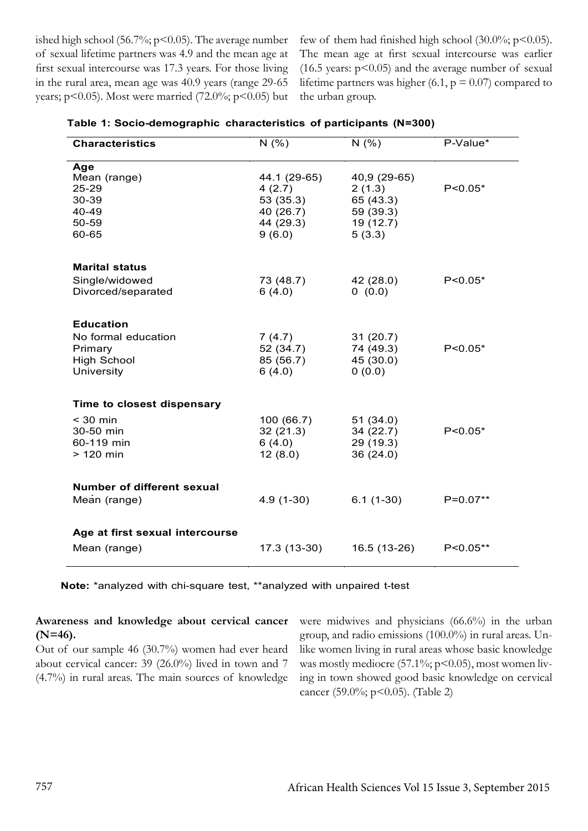ished high school (56.7%;  $p$ <0.05). The average number of sexual lifetime partners was 4.9 and the mean age at first sexual intercourse was 17.3 years. For those living in the rural area, mean age was 40.9 years (range 29-65 years;  $p$ <0.05). Most were married (72.0%;  $p$ <0.05) but

few of them had finished high school (30.0%;  $p$ <0.05). The mean age at first sexual intercourse was earlier  $(16.5 \text{ years: } p \leq 0.05)$  and the average number of sexual lifetime partners was higher (6.1,  $p = 0.07$ ) compared to the urban group.

| <b>Characteristics</b>                                             | N(% )                                                                   | N(% )                                                                   | P-Value*     |
|--------------------------------------------------------------------|-------------------------------------------------------------------------|-------------------------------------------------------------------------|--------------|
| Age<br>Mean (range)<br>25-29<br>30-39<br>40-49<br>50-59<br>60-65   | 44.1 (29-65)<br>4(2.7)<br>53 (35.3)<br>40 (26.7)<br>44 (29.3)<br>9(6.0) | 40,9 (29-65)<br>2(1.3)<br>65 (43.3)<br>59 (39.3)<br>19 (12.7)<br>5(3.3) | $P < 0.05*$  |
| <b>Marital status</b>                                              |                                                                         |                                                                         |              |
| Single/widowed<br>Divorced/separated                               | 73 (48.7)<br>6(4.0)                                                     | 42 (28.0)<br>0(0.0)                                                     | $P < 0.05*$  |
| <b>Education</b>                                                   |                                                                         |                                                                         |              |
| No formal education<br>Primary<br><b>High School</b><br>University | 7(4.7)<br>52 (34.7)<br>85 (56.7)<br>6(4.0)                              | 31(20.7)<br>74 (49.3)<br>45 (30.0)<br>0(0.0)                            | $P < 0.05*$  |
| Time to closest dispensary                                         |                                                                         |                                                                         |              |
| $<$ 30 min<br>30-50 min<br>60-119 min<br>$>120$ min                | 100 (66.7)<br>32(21.3)<br>6(4.0)<br>12(8.0)                             | 51(34.0)<br>34(22.7)<br>29 (19.3)<br>36(24.0)                           | $P < 0.05*$  |
| <b>Number of different sexual</b><br>Mean (range)                  | $4.9(1-30)$                                                             | $6.1(1-30)$                                                             | $P=0.07**$   |
| Age at first sexual intercourse<br>Mean (range)                    | 17.3 (13-30)                                                            | 16.5 (13-26)                                                            | $P < 0.05**$ |

| Table 1: Socio-demographic characteristics of participants (N=300) |  |  |  |
|--------------------------------------------------------------------|--|--|--|
|--------------------------------------------------------------------|--|--|--|

**Note:** \*analyzed with chi-square test, \*\*analyzed with unpaired t-test

## **Awareness and knowledge about cervical cancer (N=46).**

Out of our sample 46 (30.7%) women had ever heard about cervical cancer: 39 (26.0%) lived in town and 7 (4.7%) in rural areas. The main sources of knowledge

were midwives and physicians (66.6%) in the urban group, and radio emissions (100.0%) in rural areas. Unlike women living in rural areas whose basic knowledge was mostly mediocre (57.1%;  $p$ <0.05), most women living in town showed good basic knowledge on cervical cancer (59.0%; p<0.05). (Table 2)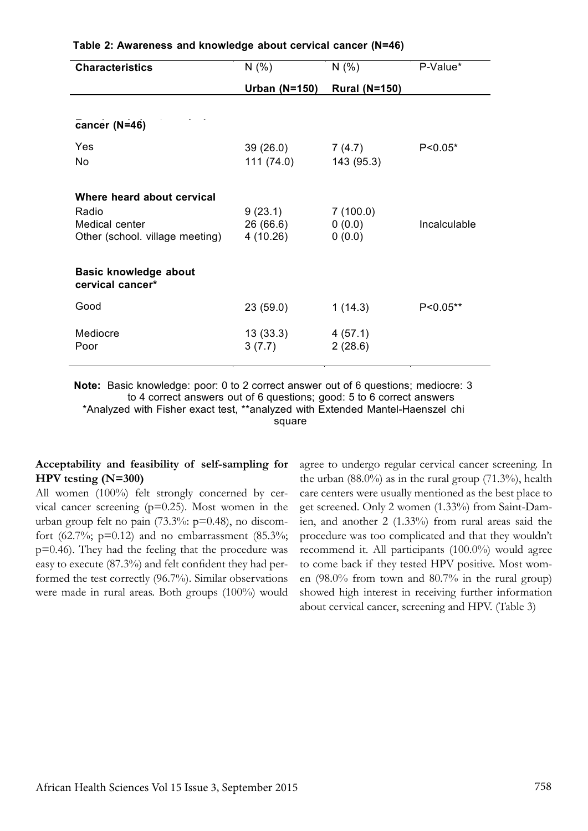| <b>Characteristics</b>                           | N(% )           | N(% )                | P-Value*     |
|--------------------------------------------------|-----------------|----------------------|--------------|
|                                                  | Urban $(N=150)$ | <b>Rural (N=150)</b> |              |
|                                                  |                 |                      |              |
| cancer (N=46)                                    |                 |                      |              |
| Yes                                              | 39(26.0)        | 7(4.7)               | $P < 0.05^*$ |
| No                                               | 111(74.0)       | 143 (95.3)           |              |
|                                                  |                 |                      |              |
| Where heard about cervical                       |                 |                      |              |
| Radio                                            | 9(23.1)         | 7(100.0)             |              |
| Medical center                                   | 26 (66.6)       | 0(0.0)               | Incalculable |
| Other (school. village meeting)                  | 4(10.26)        | 0(0.0)               |              |
|                                                  |                 |                      |              |
| <b>Basic knowledge about</b><br>cervical cancer* |                 |                      |              |
| Good                                             | 23(59.0)        | 1(14.3)              | $P < 0.05**$ |
| Mediocre                                         | 13(33.3)        | 4(57.1)              |              |
| Poor                                             | 3(7.7)          | 2(28.6)              |              |
|                                                  |                 |                      |              |

### **Table 2: Awareness and knowledge about cervical cancer (N=46)**

**Note:** Basic knowledge: poor: 0 to 2 correct answer out of 6 questions; mediocre: 3 to 4 correct answers out of 6 questions; good: 5 to 6 correct answers \*Analyzed with Fisher exact test, \*\*analyzed with Extended Mantel-Haenszel chi square

## **Acceptability and feasibility of self-sampling for HPV testing (N=300)**

All women (100%) felt strongly concerned by cervical cancer screening  $(p=0.25)$ . Most women in the urban group felt no pain (73.3%: p=0.48), no discomfort (62.7%;  $p=0.12$ ) and no embarrassment (85.3%; p=0.46). They had the feeling that the procedure was easy to execute (87.3%) and felt confident they had performed the test correctly (96.7%). Similar observations were made in rural areas. Both groups (100%) would agree to undergo regular cervical cancer screening. In the urban  $(88.0\%)$  as in the rural group  $(71.3\%)$ , health care centers were usually mentioned as the best place to get screened. Only 2 women (1.33%) from Saint-Damien, and another 2 (1.33%) from rural areas said the procedure was too complicated and that they wouldn't recommend it. All participants (100.0%) would agree to come back if they tested HPV positive. Most women (98.0% from town and 80.7% in the rural group) showed high interest in receiving further information about cervical cancer, screening and HPV. (Table 3)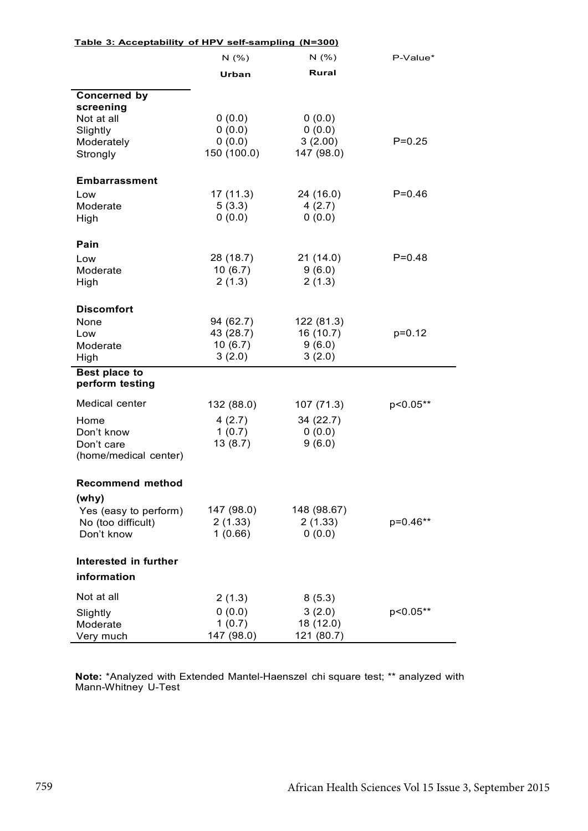| Table 3: Acceptability of HPV self-sampling (N=300) |             |              |            |
|-----------------------------------------------------|-------------|--------------|------------|
|                                                     | N(% )       | N(% )        | P-Value*   |
|                                                     | Urban       | <b>Rural</b> |            |
| <b>Concerned by</b>                                 |             |              |            |
| screening                                           |             |              |            |
| Not at all                                          | 0(0.0)      | 0(0.0)       |            |
| Slightly                                            | 0(0.0)      | 0(0.0)       |            |
| Moderately                                          | (0.0)       | 3(2.00)      | $P = 0.25$ |
| Strongly                                            | 150 (100.0) | 147 (98.0)   |            |
| Embarrassment                                       |             |              |            |
| Low                                                 | 17(11.3)    | 24 (16.0)    | $P = 0.46$ |
| Moderate                                            | 5(3.3)      | 4(2.7)       |            |
| High                                                | 0(0.0)      | 0(0.0)       |            |
| Pain                                                |             |              |            |
| Low                                                 | 28 (18.7)   | 21(14.0)     | $P = 0.48$ |
| Moderate                                            | 10(6.7)     | 9(6.0)       |            |
| High                                                | 2(1.3)      | 2(1.3)       |            |
| <b>Discomfort</b>                                   |             |              |            |
| None                                                | 94 (62.7)   | 122 (81.3)   |            |
| Low                                                 | 43 (28.7)   | 16(10.7)     | $p=0.12$   |
| Moderate                                            | 10(6.7)     | 9(6.0)       |            |
| High                                                | 3(2.0)      | 3(2.0)       |            |
| Best place to<br>perform testing                    |             |              |            |
| Medical center                                      | 132 (88.0)  | 107(71.3)    | p<0.05**   |
| Home                                                | 4(2.7)      | 34(22.7)     |            |
| Don't know                                          | 1(0.7)      | 0(0.0)       |            |
| Don't care                                          | 13(8.7)     | 9(6.0)       |            |
| (home/medical center)                               |             |              |            |
| <b>Recommend method</b>                             |             |              |            |
| (why)                                               |             |              |            |
| Yes (easy to perform)                               | 147 (98.0)  | 148 (98.67)  |            |
| No (too difficult)                                  | 2(1.33)     | 2(1.33)      | p=0.46**   |
| Don't know                                          | 1(0.66)     | 0(0.0)       |            |
| Interested in further                               |             |              |            |
| information                                         |             |              |            |
| Not at all                                          | 2(1.3)      | 8(5.3)       |            |
| Slightly                                            | 0(0.0)      | 3(2.0)       | p<0.05**   |
| Moderate                                            | 1(0.7)      | 18(12.0)     |            |
| Very much                                           | 147 (98.0)  | 121 (80.7)   |            |

**Note:** \*Analyzed with Extended Mantel-Haenszel chi square test; \*\* analyzed with Mann-Whitney U-Test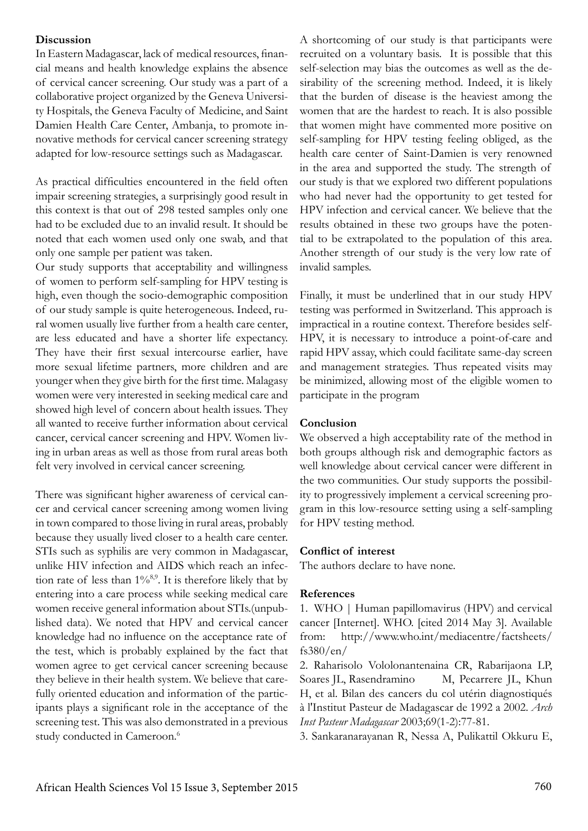## **Discussion**

In Eastern Madagascar, lack of medical resources, financial means and health knowledge explains the absence of cervical cancer screening. Our study was a part of a collaborative project organized by the Geneva University Hospitals, the Geneva Faculty of Medicine, and Saint Damien Health Care Center, Ambanja, to promote innovative methods for cervical cancer screening strategy adapted for low-resource settings such as Madagascar.

As practical difficulties encountered in the field often impair screening strategies, a surprisingly good result in this context is that out of 298 tested samples only one had to be excluded due to an invalid result. It should be noted that each women used only one swab, and that only one sample per patient was taken.

Our study supports that acceptability and willingness of women to perform self-sampling for HPV testing is high, even though the socio-demographic composition of our study sample is quite heterogeneous. Indeed, rural women usually live further from a health care center, are less educated and have a shorter life expectancy. They have their first sexual intercourse earlier, have more sexual lifetime partners, more children and are younger when they give birth for the first time. Malagasy women were very interested in seeking medical care and showed high level of concern about health issues. They all wanted to receive further information about cervical cancer, cervical cancer screening and HPV. Women living in urban areas as well as those from rural areas both felt very involved in cervical cancer screening.

There was significant higher awareness of cervical cancer and cervical cancer screening among women living in town compared to those living in rural areas, probably because they usually lived closer to a health care center. STIs such as syphilis are very common in Madagascar, unlike HIV infection and AIDS which reach an infection rate of less than  $1\%^{8,9}$ . It is therefore likely that by entering into a care process while seeking medical care women receive general information about STIs.(unpublished data). We noted that HPV and cervical cancer knowledge had no influence on the acceptance rate of the test, which is probably explained by the fact that women agree to get cervical cancer screening because they believe in their health system. We believe that carefully oriented education and information of the participants plays a significant role in the acceptance of the screening test. This was also demonstrated in a previous study conducted in Cameroon.<sup>6</sup>

A shortcoming of our study is that participants were recruited on a voluntary basis. It is possible that this self-selection may bias the outcomes as well as the desirability of the screening method. Indeed, it is likely that the burden of disease is the heaviest among the women that are the hardest to reach. It is also possible that women might have commented more positive on self-sampling for HPV testing feeling obliged, as the health care center of Saint-Damien is very renowned in the area and supported the study. The strength of our study is that we explored two different populations who had never had the opportunity to get tested for HPV infection and cervical cancer. We believe that the results obtained in these two groups have the potential to be extrapolated to the population of this area. Another strength of our study is the very low rate of invalid samples.

Finally, it must be underlined that in our study HPV testing was performed in Switzerland. This approach is impractical in a routine context. Therefore besides self-HPV, it is necessary to introduce a point-of-care and rapid HPV assay, which could facilitate same-day screen and management strategies. Thus repeated visits may be minimized, allowing most of the eligible women to participate in the program

## **Conclusion**

We observed a high acceptability rate of the method in both groups although risk and demographic factors as well knowledge about cervical cancer were different in the two communities. Our study supports the possibility to progressively implement a cervical screening program in this low-resource setting using a self-sampling for HPV testing method.

#### **Conflict of interest**

The authors declare to have none.

#### **References**

1. WHO | Human papillomavirus (HPV) and cervical cancer [Internet]. WHO. [cited 2014 May 3]. Available from: http://www.who.int/mediacentre/factsheets/ fs380/en/

2. Raharisolo Vololonantenaina CR, Rabarijaona LP, Soares JL, Rasendramino M, Pecarrere JL, Khun H, et al. Bilan des cancers du col utérin diagnostiqués à l'Institut Pasteur de Madagascar de 1992 a 2002. *Arch Inst Pasteur Madagascar* 2003;69(1-2):77-81.

3. Sankaranarayanan R, Nessa A, Pulikattil Okkuru E,